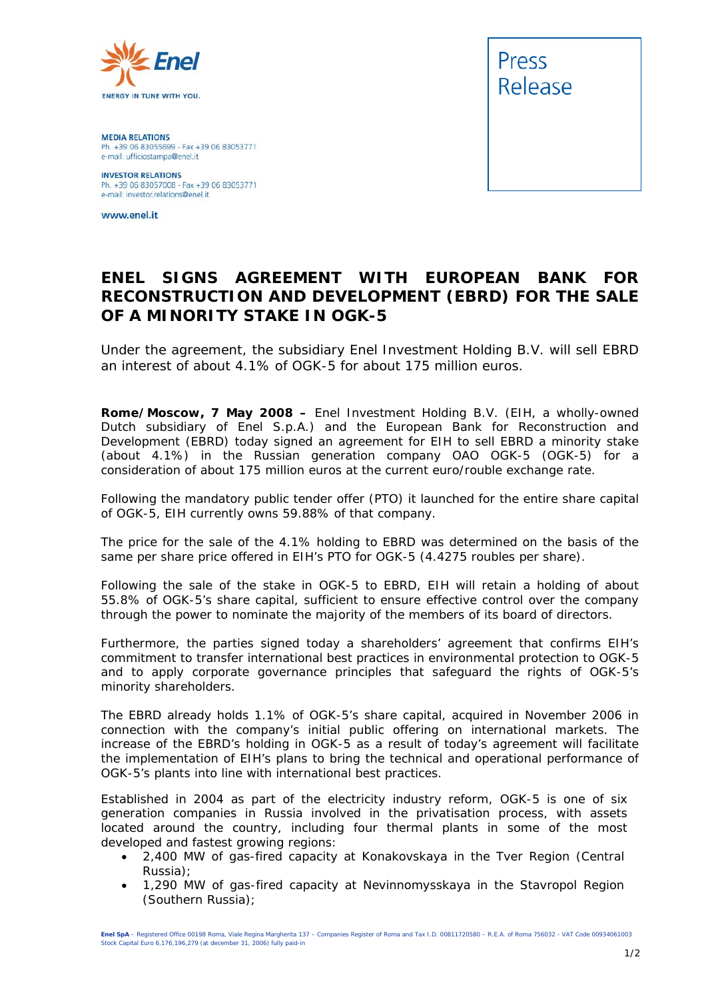

**MEDIA RELATIONS** Ph. +39 06 83055699 - Fax +39 06 83053771 e-mail: ufficiostampa@enel.it

**INVESTOR RELATIONS**<br>Ph. +39 06 83057008 - Fax +39 06 83053771 e-mail: investor.relations@enel.it

www.enel.it



## **ENEL SIGNS AGREEMENT WITH EUROPEAN BANK FOR RECONSTRUCTION AND DEVELOPMENT (EBRD) FOR THE SALE OF A MINORITY STAKE IN OGK-5**

*Under the agreement, the subsidiary Enel Investment Holding B.V. will sell EBRD an interest of about 4.1% of OGK-5 for about 175 million euros.* 

**Rome/Moscow, 7 May 2008 –** Enel Investment Holding B.V. (EIH, a wholly-owned Dutch subsidiary of Enel S.p.A.) and the European Bank for Reconstruction and Development (EBRD) today signed an agreement for EIH to sell EBRD a minority stake (about 4.1%) in the Russian generation company OAO OGK-5 (OGK-5) for a consideration of about 175 million euros at the current euro/rouble exchange rate.

Following the mandatory public tender offer (PTO) it launched for the entire share capital of OGK-5, EIH currently owns 59.88% of that company.

The price for the sale of the 4.1% holding to EBRD was determined on the basis of the same per share price offered in EIH's PTO for OGK-5 (4.4275 roubles per share).

Following the sale of the stake in OGK-5 to EBRD, EIH will retain a holding of about 55.8% of OGK-5's share capital, sufficient to ensure effective control over the company through the power to nominate the majority of the members of its board of directors.

Furthermore, the parties signed today a shareholders' agreement that confirms EIH's commitment to transfer international best practices in environmental protection to OGK-5 and to apply corporate governance principles that safeguard the rights of OGK-5's minority shareholders.

The EBRD already holds 1.1% of OGK-5's share capital, acquired in November 2006 in connection with the company's initial public offering on international markets. The increase of the EBRD's holding in OGK-5 as a result of today's agreement will facilitate the implementation of EIH's plans to bring the technical and operational performance of OGK-5's plants into line with international best practices.

Established in 2004 as part of the electricity industry reform, OGK-5 is one of six generation companies in Russia involved in the privatisation process, with assets located around the country, including four thermal plants in some of the most developed and fastest growing regions:

- 2,400 MW of gas-fired capacity at Konakovskaya in the Tver Region (Central Russia);
- 1,290 MW of gas-fired capacity at Nevinnomysskaya in the Stavropol Region (Southern Russia);